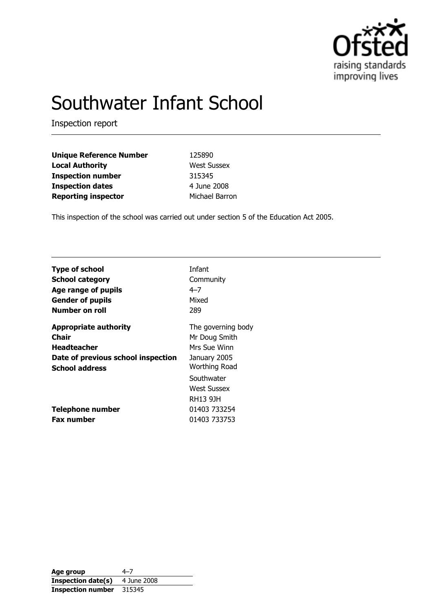

# Southwater Infant School

Inspection report

| <b>Unique Reference Number</b> | 125890             |
|--------------------------------|--------------------|
| <b>Local Authority</b>         | <b>West Sussex</b> |
| <b>Inspection number</b>       | 315345             |
| <b>Inspection dates</b>        | 4 June 2008        |
| <b>Reporting inspector</b>     | Michael Barron     |

This inspection of the school was carried out under section 5 of the Education Act 2005.

| <b>Type of school</b>                        | Infant                                                                |
|----------------------------------------------|-----------------------------------------------------------------------|
| <b>School category</b>                       | Community                                                             |
| Age range of pupils                          | $4 - 7$                                                               |
| <b>Gender of pupils</b>                      | Mixed                                                                 |
| Number on roll                               | 289                                                                   |
| <b>Appropriate authority</b>                 | The governing body                                                    |
| Chair                                        | Mr Doug Smith                                                         |
| <b>Headteacher</b>                           | Mrs Sue Winn                                                          |
| Date of previous school inspection           | January 2005                                                          |
| <b>School address</b>                        | <b>Worthing Road</b>                                                  |
| <b>Telephone number</b><br><b>Fax number</b> | Southwater<br>West Sussex<br>RH13 9JH<br>01403 733254<br>01403 733753 |

Age group  $4-7$ **Inspection date(s)** 4 June 2008 Inspection number 315345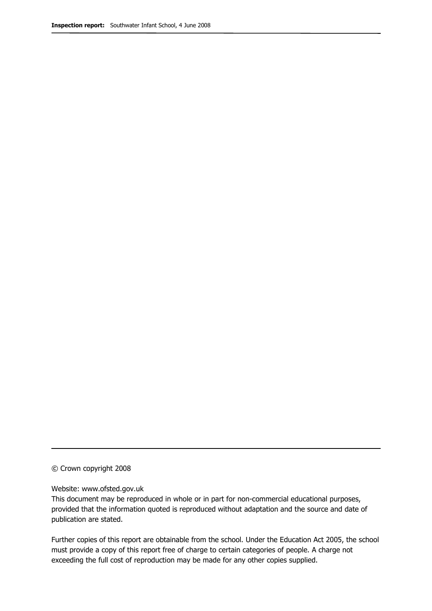#### © Crown copyright 2008

#### Website: www.ofsted.gov.uk

This document may be reproduced in whole or in part for non-commercial educational purposes, provided that the information quoted is reproduced without adaptation and the source and date of publication are stated.

Further copies of this report are obtainable from the school. Under the Education Act 2005, the school must provide a copy of this report free of charge to certain categories of people. A charge not exceeding the full cost of reproduction may be made for any other copies supplied.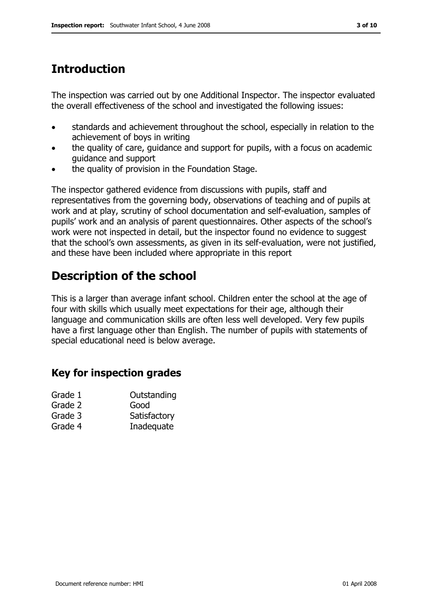The inspection was carried out by one Additional Inspector. The inspector evaluated the overall effectiveness of the school and investigated the following issues:

- standards and achievement throughout the school, especially in relation to the achievement of boys in writing
- the quality of care, guidance and support for pupils, with a focus on academic guidance and support
- the quality of provision in the Foundation Stage.

The inspector gathered evidence from discussions with pupils, staff and representatives from the governing body, observations of teaching and of pupils at work and at play, scrutiny of school documentation and self-evaluation, samples of pupils' work and an analysis of parent questionnaires. Other aspects of the school's work were not inspected in detail, but the inspector found no evidence to suggest that the school's own assessments, as given in its self-evaluation, were not justified, and these have been included where appropriate in this report

## Description of the school

This is a larger than average infant school. Children enter the school at the age of four with skills which usually meet expectations for their age, although their language and communication skills are often less well developed. Very few pupils have a first language other than English. The number of pupils with statements of special educational need is below average.

## Key for inspection grades

| Grade 1 | Outstanding  |
|---------|--------------|
| Grade 2 | Good         |
| Grade 3 | Satisfactory |
| Grade 4 | Inadequate   |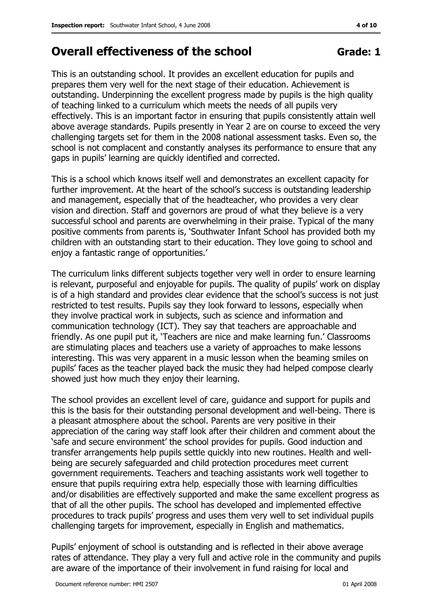## Overall effectiveness of the school Grade: 1

This is an outstanding school. It provides an excellent education for pupils and prepares them very well for the next stage of their education. Achievement is outstanding. Underpinning the excellent progress made by pupils is the high quality of teaching linked to a curriculum which meets the needs of all pupils very effectively. This is an important factor in ensuring that pupils consistently attain well above average standards. Pupils presently in Year 2 are on course to exceed the very challenging targets set for them in the 2008 national assessment tasks. Even so, the school is not complacent and constantly analyses its performance to ensure that any gaps in pupils' learning are quickly identified and corrected.

This is a school which knows itself well and demonstrates an excellent capacity for further improvement. At the heart of the school's success is outstanding leadership and management, especially that of the headteacher, who provides a very clear vision and direction. Staff and governors are proud of what they believe is a very successful school and parents are overwhelming in their praise. Typical of the many positive comments from parents is, 'Southwater Infant School has provided both my children with an outstanding start to their education. They love going to school and enjoy a fantastic range of opportunities.'

The curriculum links different subjects together very well in order to ensure learning is relevant, purposeful and enjoyable for pupils. The quality of pupils' work on display is of a high standard and provides clear evidence that the school's success is not just restricted to test results. Pupils say they look forward to lessons, especially when they involve practical work in subjects, such as science and information and communication technology (ICT). They say that teachers are approachable and friendly. As one pupil put it, 'Teachers are nice and make learning fun.' Classrooms are stimulating places and teachers use a variety of approaches to make lessons interesting. This was very apparent in a music lesson when the beaming smiles on pupils' faces as the teacher played back the music they had helped compose clearly showed just how much they enjoy their learning.

The school provides an excellent level of care, guidance and support for pupils and this is the basis for their outstanding personal development and well-being. There is a pleasant atmosphere about the school. Parents are very positive in their appreciation of the caring way staff look after their children and comment about the 'safe and secure environment' the school provides for pupils. Good induction and transfer arrangements help pupils settle quickly into new routines. Health and wellbeing are securely safeguarded and child protection procedures meet current government requirements. Teachers and teaching assistants work well together to ensure that pupils requiring extra help, especially those with learning difficulties and/or disabilities are effectively supported and make the same excellent progress as that of all the other pupils. The school has developed and implemented effective procedures to track pupils' progress and uses them very well to set individual pupils challenging targets for improvement, especially in English and mathematics.

Pupils' enjoyment of school is outstanding and is reflected in their above average rates of attendance. They play a very full and active role in the community and pupils are aware of the importance of their involvement in fund raising for local and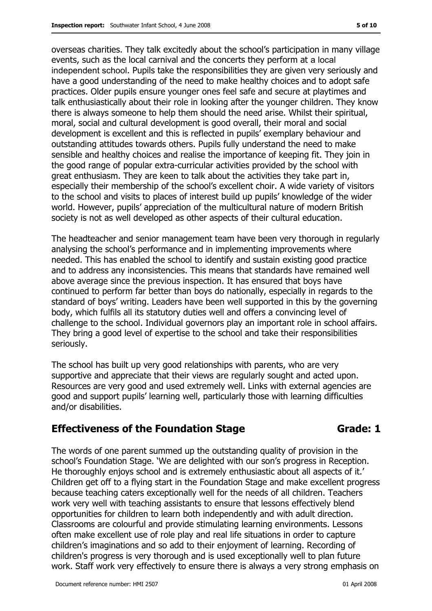overseas charities. They talk excitedly about the school's participation in many village events, such as the local carnival and the concerts they perform at a local independent school. Pupils take the responsibilities they are given very seriously and have a good understanding of the need to make healthy choices and to adopt safe practices. Older pupils ensure younger ones feel safe and secure at playtimes and talk enthusiastically about their role in looking after the younger children. They know there is always someone to help them should the need arise. Whilst their spiritual, moral, social and cultural development is good overall, their moral and social development is excellent and this is reflected in pupils' exemplary behaviour and outstanding attitudes towards others. Pupils fully understand the need to make sensible and healthy choices and realise the importance of keeping fit. They join in the good range of popular extra-curricular activities provided by the school with great enthusiasm. They are keen to talk about the activities they take part in, especially their membership of the school's excellent choir. A wide variety of visitors to the school and visits to places of interest build up pupils' knowledge of the wider world. However, pupils' appreciation of the multicultural nature of modern British society is not as well developed as other aspects of their cultural education.

The headteacher and senior management team have been very thorough in regularly analysing the school's performance and in implementing improvements where needed. This has enabled the school to identify and sustain existing good practice and to address any inconsistencies. This means that standards have remained well above average since the previous inspection. It has ensured that boys have continued to perform far better than boys do nationally, especially in regards to the standard of boys' writing. Leaders have been well supported in this by the governing body, which fulfils all its statutory duties well and offers a convincing level of challenge to the school. Individual governors play an important role in school affairs. They bring a good level of expertise to the school and take their responsibilities seriously.

The school has built up very good relationships with parents, who are very supportive and appreciate that their views are regularly sought and acted upon. Resources are very good and used extremely well. Links with external agencies are good and support pupils' learning well, particularly those with learning difficulties and/or disabilities.

#### Effectiveness of the Foundation Stage Theorem Canade: 1

The words of one parent summed up the outstanding quality of provision in the school's Foundation Stage. 'We are delighted with our son's progress in Reception. He thoroughly enjoys school and is extremely enthusiastic about all aspects of it.' Children get off to a flying start in the Foundation Stage and make excellent progress because teaching caters exceptionally well for the needs of all children. Teachers work very well with teaching assistants to ensure that lessons effectively blend opportunities for children to learn both independently and with adult direction. Classrooms are colourful and provide stimulating learning environments. Lessons often make excellent use of role play and real life situations in order to capture children's imaginations and so add to their enjoyment of learning. Recording of children's progress is very thorough and is used exceptionally well to plan future work. Staff work very effectively to ensure there is always a very strong emphasis on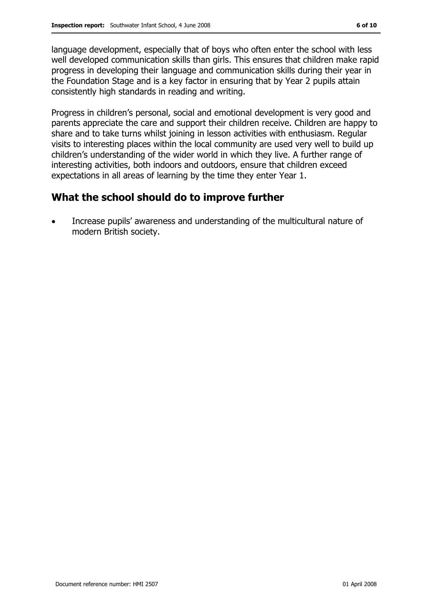language development, especially that of boys who often enter the school with less well developed communication skills than girls. This ensures that children make rapid progress in developing their language and communication skills during their year in the Foundation Stage and is a key factor in ensuring that by Year 2 pupils attain consistently high standards in reading and writing.

Progress in children's personal, social and emotional development is very good and parents appreciate the care and support their children receive. Children are happy to share and to take turns whilst joining in lesson activities with enthusiasm. Regular visits to interesting places within the local community are used very well to build up children's understanding of the wider world in which they live. A further range of interesting activities, both indoors and outdoors, ensure that children exceed expectations in all areas of learning by the time they enter Year 1.

#### What the school should do to improve further

• Increase pupils' awareness and understanding of the multicultural nature of modern British society.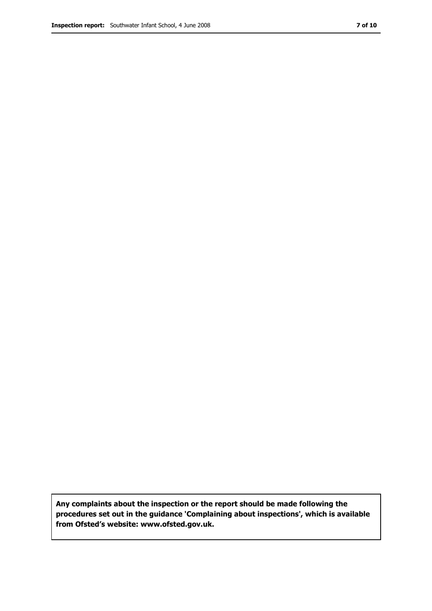Any complaints about the inspection or the report should be made following the procedures set out in the guidance 'Complaining about inspections', which is available from Ofsted's website: www.ofsted.gov.uk.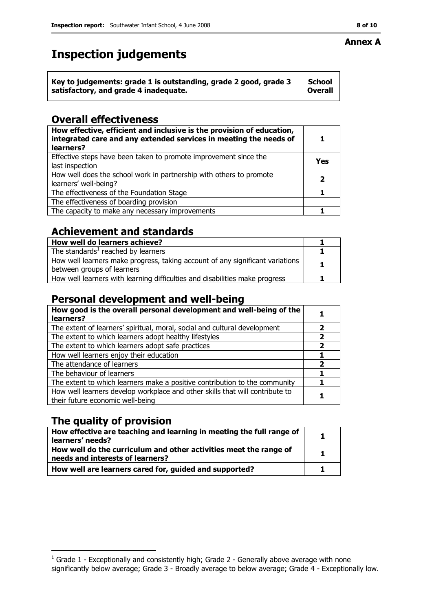## Inspection judgements

| Key to judgements: grade 1 is outstanding, grade 2 good, grade 3 | School         |
|------------------------------------------------------------------|----------------|
| satisfactory, and grade 4 inadequate.                            | <b>Overall</b> |

## Overall effectiveness

| How effective, efficient and inclusive is the provision of education,<br>integrated care and any extended services in meeting the needs of<br>learners? |     |
|---------------------------------------------------------------------------------------------------------------------------------------------------------|-----|
| Effective steps have been taken to promote improvement since the<br>last inspection                                                                     | Yes |
| How well does the school work in partnership with others to promote<br>learners' well-being?                                                            | 7   |
| The effectiveness of the Foundation Stage                                                                                                               |     |
| The effectiveness of boarding provision                                                                                                                 |     |
| The capacity to make any necessary improvements                                                                                                         |     |

#### Achievement and standards

| How well do learners achieve?                                                                               |  |
|-------------------------------------------------------------------------------------------------------------|--|
| The standards $1$ reached by learners                                                                       |  |
| How well learners make progress, taking account of any significant variations<br>between groups of learners |  |
| How well learners with learning difficulties and disabilities make progress                                 |  |

#### Personal development and well-being

| How good is the overall personal development and well-being of the<br>learners?                                  |   |
|------------------------------------------------------------------------------------------------------------------|---|
| The extent of learners' spiritual, moral, social and cultural development                                        |   |
| The extent to which learners adopt healthy lifestyles                                                            | 2 |
| The extent to which learners adopt safe practices                                                                |   |
| How well learners enjoy their education                                                                          |   |
| The attendance of learners                                                                                       |   |
| The behaviour of learners                                                                                        |   |
| The extent to which learners make a positive contribution to the community                                       |   |
| How well learners develop workplace and other skills that will contribute to<br>their future economic well-being |   |

## The quality of provision

| How effective are teaching and learning in meeting the full range of<br>learners' needs?              |  |
|-------------------------------------------------------------------------------------------------------|--|
| How well do the curriculum and other activities meet the range of<br>needs and interests of learners? |  |
| How well are learners cared for, guided and supported?                                                |  |

#### ֺ֝֡ Annex A

 1 Grade 1 - Exceptionally and consistently high; Grade 2 - Generally above average with none significantly below average; Grade 3 - Broadly average to below average; Grade 4 - Exceptionally low.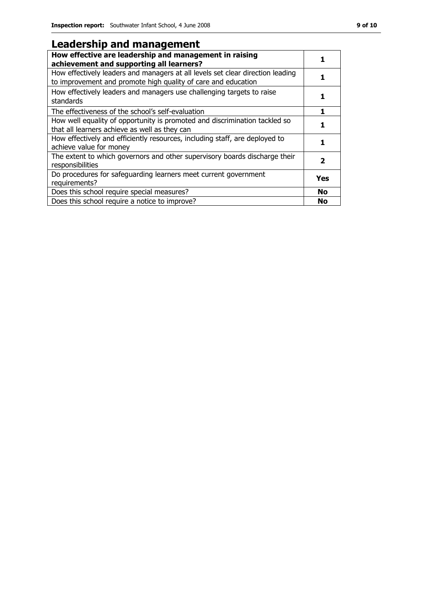#### Leadership and management

| How effective are leadership and management in raising<br>achievement and supporting all learners?                                              |           |
|-------------------------------------------------------------------------------------------------------------------------------------------------|-----------|
| How effectively leaders and managers at all levels set clear direction leading<br>to improvement and promote high quality of care and education |           |
| How effectively leaders and managers use challenging targets to raise<br>standards                                                              |           |
| The effectiveness of the school's self-evaluation                                                                                               |           |
| How well equality of opportunity is promoted and discrimination tackled so<br>that all learners achieve as well as they can                     |           |
| How effectively and efficiently resources, including staff, are deployed to<br>achieve value for money                                          |           |
| The extent to which governors and other supervisory boards discharge their<br>responsibilities                                                  | 2         |
| Do procedures for safeguarding learners meet current government<br>requirements?                                                                | Yes       |
| Does this school require special measures?                                                                                                      | <b>No</b> |
| Does this school require a notice to improve?                                                                                                   | <b>No</b> |